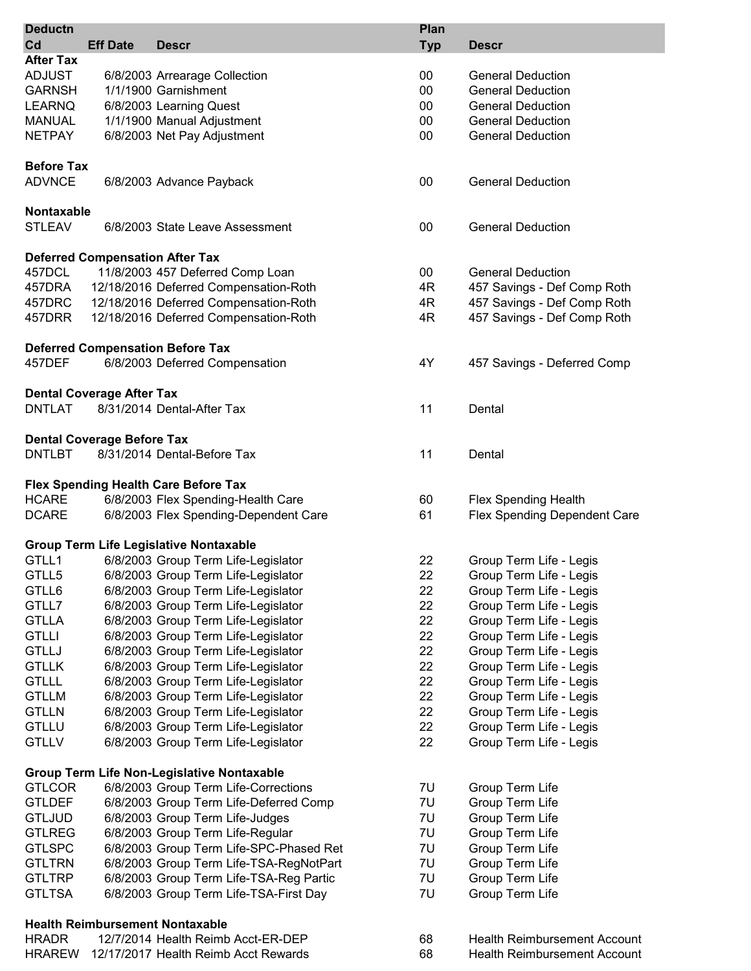| <b>Deductn</b>    |                                   |                                                   | Plan       |                                     |
|-------------------|-----------------------------------|---------------------------------------------------|------------|-------------------------------------|
| Cd                | <b>Eff Date</b>                   | <b>Descr</b>                                      | <b>Typ</b> | <b>Descr</b>                        |
| <b>After Tax</b>  |                                   |                                                   |            |                                     |
| <b>ADJUST</b>     |                                   |                                                   | 00         | <b>General Deduction</b>            |
| <b>GARNSH</b>     |                                   | 6/8/2003 Arrearage Collection                     | 00         |                                     |
|                   |                                   | 1/1/1900 Garnishment                              |            | <b>General Deduction</b>            |
| <b>LEARNQ</b>     |                                   | 6/8/2003 Learning Quest                           | 00         | <b>General Deduction</b>            |
| <b>MANUAL</b>     |                                   | 1/1/1900 Manual Adjustment                        | 00         | <b>General Deduction</b>            |
| <b>NETPAY</b>     |                                   | 6/8/2003 Net Pay Adjustment                       | 00         | <b>General Deduction</b>            |
|                   |                                   |                                                   |            |                                     |
| <b>Before Tax</b> |                                   |                                                   |            |                                     |
| <b>ADVNCE</b>     |                                   | 6/8/2003 Advance Payback                          | 00         | <b>General Deduction</b>            |
|                   |                                   |                                                   |            |                                     |
| <b>Nontaxable</b> |                                   |                                                   |            |                                     |
| <b>STLEAV</b>     |                                   | 6/8/2003 State Leave Assessment                   | 00         | <b>General Deduction</b>            |
|                   |                                   |                                                   |            |                                     |
|                   |                                   | <b>Deferred Compensation After Tax</b>            |            |                                     |
| 457DCL            |                                   | 11/8/2003 457 Deferred Comp Loan                  | 00         | <b>General Deduction</b>            |
| 457DRA            |                                   | 12/18/2016 Deferred Compensation-Roth             | 4R         | 457 Savings - Def Comp Roth         |
| 457DRC            |                                   | 12/18/2016 Deferred Compensation-Roth             | 4R         | 457 Savings - Def Comp Roth         |
| 457DRR            |                                   | 12/18/2016 Deferred Compensation-Roth             | 4R         | 457 Savings - Def Comp Roth         |
|                   |                                   |                                                   |            |                                     |
|                   |                                   | <b>Deferred Compensation Before Tax</b>           |            |                                     |
| 457DEF            |                                   | 6/8/2003 Deferred Compensation                    | 4Y         | 457 Savings - Deferred Comp         |
|                   |                                   |                                                   |            |                                     |
|                   | <b>Dental Coverage After Tax</b>  |                                                   |            |                                     |
| <b>DNTLAT</b>     |                                   | 8/31/2014 Dental-After Tax                        | 11         | Dental                              |
|                   |                                   |                                                   |            |                                     |
|                   | <b>Dental Coverage Before Tax</b> |                                                   |            |                                     |
| <b>DNTLBT</b>     |                                   | 8/31/2014 Dental-Before Tax                       | 11         | Dental                              |
|                   |                                   |                                                   |            |                                     |
|                   |                                   | <b>Flex Spending Health Care Before Tax</b>       |            |                                     |
| <b>HCARE</b>      |                                   | 6/8/2003 Flex Spending-Health Care                | 60         | Flex Spending Health                |
| <b>DCARE</b>      |                                   | 6/8/2003 Flex Spending-Dependent Care             | 61         | Flex Spending Dependent Care        |
|                   |                                   |                                                   |            |                                     |
|                   |                                   | <b>Group Term Life Legislative Nontaxable</b>     |            |                                     |
| GTLL1             |                                   | 6/8/2003 Group Term Life-Legislator               | 22         | Group Term Life - Legis             |
| GTLL5             |                                   | 6/8/2003 Group Term Life-Legislator               | 22         |                                     |
|                   |                                   | 6/8/2003 Group Term Life-Legislator               |            | Group Term Life - Legis             |
| GTLL6             |                                   |                                                   | 22         | Group Term Life - Legis             |
| GTLL7             |                                   | 6/8/2003 Group Term Life-Legislator               | 22         | Group Term Life - Legis             |
| <b>GTLLA</b>      |                                   | 6/8/2003 Group Term Life-Legislator               | 22         | Group Term Life - Legis             |
| <b>GTLLI</b>      |                                   | 6/8/2003 Group Term Life-Legislator               | 22         | Group Term Life - Legis             |
| <b>GTLLJ</b>      |                                   | 6/8/2003 Group Term Life-Legislator               | 22         | Group Term Life - Legis             |
| <b>GTLLK</b>      |                                   | 6/8/2003 Group Term Life-Legislator               | 22         | Group Term Life - Legis             |
| <b>GTLLL</b>      |                                   | 6/8/2003 Group Term Life-Legislator               | 22         | Group Term Life - Legis             |
| <b>GTLLM</b>      |                                   | 6/8/2003 Group Term Life-Legislator               | 22         | Group Term Life - Legis             |
| <b>GTLLN</b>      |                                   | 6/8/2003 Group Term Life-Legislator               | 22         | Group Term Life - Legis             |
| <b>GTLLU</b>      |                                   | 6/8/2003 Group Term Life-Legislator               | 22         | Group Term Life - Legis             |
| <b>GTLLV</b>      |                                   | 6/8/2003 Group Term Life-Legislator               | 22         | Group Term Life - Legis             |
|                   |                                   |                                                   |            |                                     |
|                   |                                   | <b>Group Term Life Non-Legislative Nontaxable</b> |            |                                     |
| <b>GTLCOR</b>     |                                   | 6/8/2003 Group Term Life-Corrections              | 7U         | Group Term Life                     |
| <b>GTLDEF</b>     |                                   | 6/8/2003 Group Term Life-Deferred Comp            | 7U         | Group Term Life                     |
| <b>GTLJUD</b>     |                                   | 6/8/2003 Group Term Life-Judges                   | 7U         | Group Term Life                     |
| <b>GTLREG</b>     |                                   | 6/8/2003 Group Term Life-Regular                  | 7U         | Group Term Life                     |
| <b>GTLSPC</b>     |                                   | 6/8/2003 Group Term Life-SPC-Phased Ret           | 7U         | Group Term Life                     |
| <b>GTLTRN</b>     |                                   | 6/8/2003 Group Term Life-TSA-RegNotPart           | 7U         | Group Term Life                     |
| <b>GTLTRP</b>     |                                   | 6/8/2003 Group Term Life-TSA-Reg Partic           | 7U         | Group Term Life                     |
| <b>GTLTSA</b>     |                                   | 6/8/2003 Group Term Life-TSA-First Day            | 7U         | Group Term Life                     |
|                   |                                   |                                                   |            |                                     |
|                   |                                   | <b>Health Reimbursement Nontaxable</b>            |            |                                     |
| <b>HRADR</b>      |                                   | 12/7/2014 Health Reimb Acct-ER-DEP                | 68         | <b>Health Reimbursement Account</b> |
| <b>HRAREW</b>     |                                   | 12/17/2017 Health Reimb Acct Rewards              | 68         | <b>Health Reimbursement Account</b> |
|                   |                                   |                                                   |            |                                     |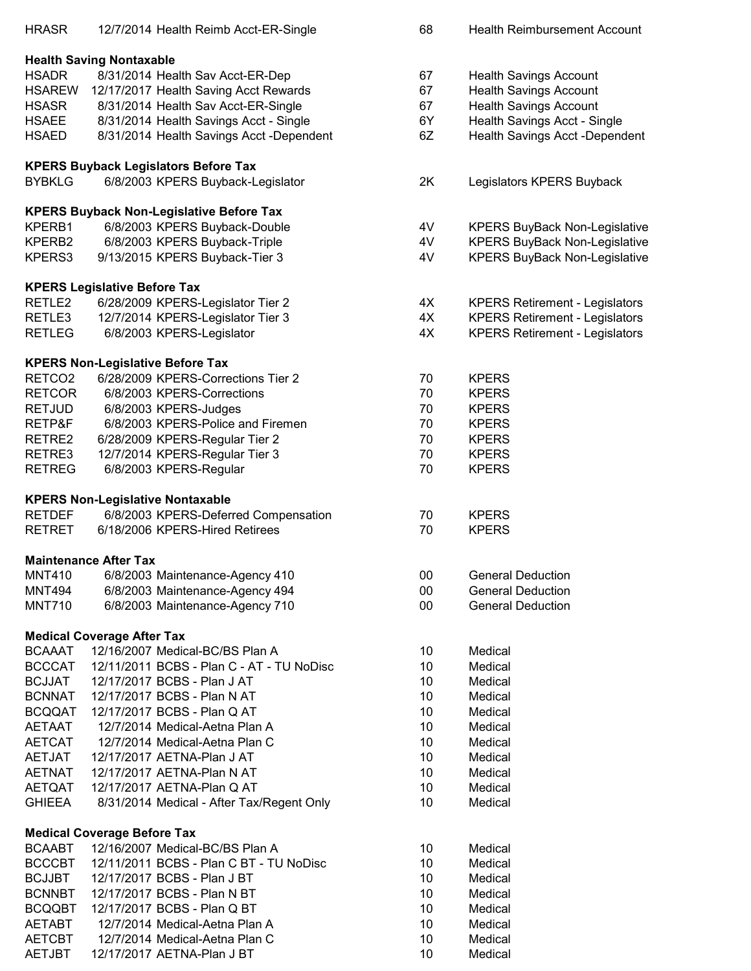| <b>HRASR</b>                   |                                     | 12/7/2014 Health Reimb Acct-ER-Single           | 68       | <b>Health Reimbursement Account</b>   |
|--------------------------------|-------------------------------------|-------------------------------------------------|----------|---------------------------------------|
|                                |                                     |                                                 |          |                                       |
|                                | <b>Health Saving Nontaxable</b>     |                                                 |          |                                       |
| <b>HSADR</b>                   |                                     | 8/31/2014 Health Sav Acct-ER-Dep                | 67       | <b>Health Savings Account</b>         |
| <b>HSAREW</b>                  |                                     | 12/17/2017 Health Saving Acct Rewards           | 67       | <b>Health Savings Account</b>         |
| <b>HSASR</b>                   |                                     | 8/31/2014 Health Sav Acct-ER-Single             | 67       | <b>Health Savings Account</b>         |
| <b>HSAEE</b>                   |                                     | 8/31/2014 Health Savings Acct - Single          | 6Y       | Health Savings Acct - Single          |
| <b>HSAED</b>                   |                                     | 8/31/2014 Health Savings Acct -Dependent        | 6Z       | Health Savings Acct -Dependent        |
|                                |                                     | <b>KPERS Buyback Legislators Before Tax</b>     |          |                                       |
| <b>BYBKLG</b>                  |                                     | 6/8/2003 KPERS Buyback-Legislator               | 2K       | Legislators KPERS Buyback             |
|                                |                                     |                                                 |          |                                       |
|                                |                                     | <b>KPERS Buyback Non-Legislative Before Tax</b> |          |                                       |
| KPERB1                         |                                     | 6/8/2003 KPERS Buyback-Double                   | 4V       | <b>KPERS BuyBack Non-Legislative</b>  |
| KPERB2                         |                                     | 6/8/2003 KPERS Buyback-Triple                   | 4V       | <b>KPERS BuyBack Non-Legislative</b>  |
| KPERS3                         |                                     | 9/13/2015 KPERS Buyback-Tier 3                  | 4V       | <b>KPERS BuyBack Non-Legislative</b>  |
|                                | <b>KPERS Legislative Before Tax</b> |                                                 |          |                                       |
| RETLE2                         |                                     | 6/28/2009 KPERS-Legislator Tier 2               | 4X       | <b>KPERS Retirement - Legislators</b> |
| RETLE3                         |                                     | 12/7/2014 KPERS-Legislator Tier 3               | 4X       | <b>KPERS Retirement - Legislators</b> |
| <b>RETLEG</b>                  |                                     | 6/8/2003 KPERS-Legislator                       | 4X       | <b>KPERS Retirement - Legislators</b> |
|                                |                                     | <b>KPERS Non-Legislative Before Tax</b>         |          |                                       |
| RETCO <sub>2</sub>             |                                     | 6/28/2009 KPERS-Corrections Tier 2              | 70       | <b>KPERS</b>                          |
| <b>RETCOR</b>                  |                                     | 6/8/2003 KPERS-Corrections                      | 70       | <b>KPERS</b>                          |
| <b>RETJUD</b>                  |                                     | 6/8/2003 KPERS-Judges                           | 70       | <b>KPERS</b>                          |
| RETP&F                         |                                     | 6/8/2003 KPERS-Police and Firemen               | 70       | <b>KPERS</b>                          |
| RETRE2                         |                                     | 6/28/2009 KPERS-Regular Tier 2                  | 70       | <b>KPERS</b>                          |
| RETRE3                         |                                     | 12/7/2014 KPERS-Regular Tier 3                  | 70       | <b>KPERS</b>                          |
| <b>RETREG</b>                  |                                     | 6/8/2003 KPERS-Regular                          | 70       | <b>KPERS</b>                          |
|                                |                                     |                                                 |          |                                       |
|                                |                                     | <b>KPERS Non-Legislative Nontaxable</b>         |          |                                       |
| <b>RETDEF</b>                  |                                     | 6/8/2003 KPERS-Deferred Compensation            | 70       | <b>KPERS</b>                          |
| <b>RETRET</b>                  |                                     | 6/18/2006 KPERS-Hired Retirees                  | 70       | <b>KPERS</b>                          |
|                                | <b>Maintenance After Tax</b>        |                                                 |          |                                       |
| <b>MNT410</b>                  |                                     | 6/8/2003 Maintenance-Agency 410                 | 00       | <b>General Deduction</b>              |
| <b>MNT494</b>                  |                                     | 6/8/2003 Maintenance-Agency 494                 | 00       | <b>General Deduction</b>              |
| <b>MNT710</b>                  |                                     | 6/8/2003 Maintenance-Agency 710                 | 00       | <b>General Deduction</b>              |
|                                |                                     |                                                 |          |                                       |
| <b>BCAAAT</b>                  | <b>Medical Coverage After Tax</b>   | 12/16/2007 Medical-BC/BS Plan A                 |          | Medical                               |
| <b>BCCCAT</b>                  |                                     | 12/11/2011 BCBS - Plan C - AT - TU NoDisc       | 10<br>10 | Medical                               |
| <b>BCJJAT</b>                  |                                     | 12/17/2017 BCBS - Plan J AT                     | 10       | Medical                               |
| <b>BCNNAT</b>                  |                                     | 12/17/2017 BCBS - Plan N AT                     | 10       | Medical                               |
| <b>BCQQAT</b>                  |                                     | 12/17/2017 BCBS - Plan Q AT                     | 10       | Medical                               |
|                                |                                     | 12/7/2014 Medical-Aetna Plan A                  | 10       | Medical                               |
| AETAAT                         |                                     | 12/7/2014 Medical-Aetna Plan C                  | 10       | Medical                               |
| <b>AETCAT</b><br><b>AETJAT</b> |                                     | 12/17/2017 AETNA-Plan J AT                      | 10       | Medical                               |
| <b>AETNAT</b>                  |                                     | 12/17/2017 AETNA-Plan N AT                      | 10       | Medical                               |
| <b>AETQAT</b>                  |                                     | 12/17/2017 AETNA-Plan Q AT                      | 10       | Medical                               |
| <b>GHIEEA</b>                  |                                     | 8/31/2014 Medical - After Tax/Regent Only       | 10       | Medical                               |
|                                |                                     |                                                 |          |                                       |
|                                | <b>Medical Coverage Before Tax</b>  |                                                 |          |                                       |
| <b>BCAABT</b>                  |                                     | 12/16/2007 Medical-BC/BS Plan A                 | 10       | Medical                               |
| <b>BCCCBT</b>                  |                                     | 12/11/2011 BCBS - Plan C BT - TU NoDisc         | 10       | Medical                               |
| <b>BCJJBT</b>                  |                                     | 12/17/2017 BCBS - Plan J BT                     | 10       | Medical                               |
| <b>BCNNBT</b>                  |                                     | 12/17/2017 BCBS - Plan N BT                     | 10       | Medical                               |
| <b>BCQQBT</b>                  |                                     | 12/17/2017 BCBS - Plan Q BT                     | 10       | Medical                               |
| <b>AETABT</b>                  |                                     | 12/7/2014 Medical-Aetna Plan A                  | 10       | Medical                               |
| <b>AETCBT</b>                  |                                     | 12/7/2014 Medical-Aetna Plan C                  | 10       | Medical                               |
| <b>AETJBT</b>                  |                                     | 12/17/2017 AETNA-Plan J BT                      | 10       | Medical                               |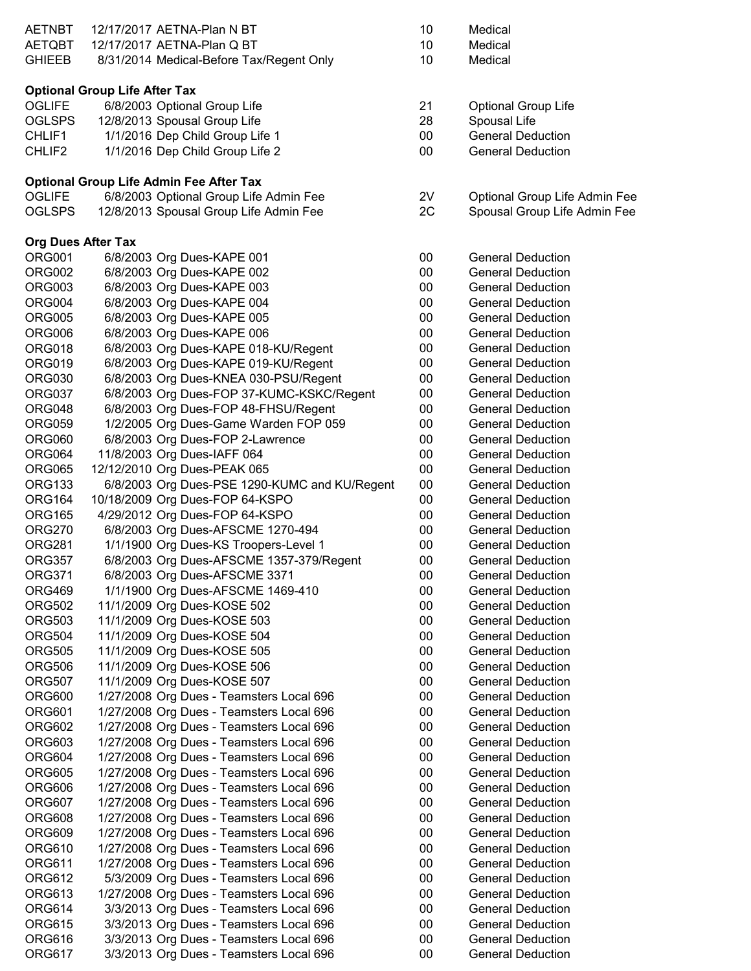| <b>AETNBT</b>      | 12/17/2017 AETNA-Plan N BT                     | 10     | Medical                       |
|--------------------|------------------------------------------------|--------|-------------------------------|
| <b>AETQBT</b>      | 12/17/2017 AETNA-Plan Q BT                     | 10     | Medical                       |
| <b>GHIEEB</b>      | 8/31/2014 Medical-Before Tax/Regent Only       | 10     | Medical                       |
|                    |                                                |        |                               |
|                    | <b>Optional Group Life After Tax</b>           |        |                               |
| <b>OGLIFE</b>      | 6/8/2003 Optional Group Life                   | 21     | <b>Optional Group Life</b>    |
| <b>OGLSPS</b>      | 12/8/2013 Spousal Group Life                   | 28     | Spousal Life                  |
| CHLIF1             | 1/1/2016 Dep Child Group Life 1                | $00\,$ | <b>General Deduction</b>      |
| CHLIF <sub>2</sub> | 1/1/2016 Dep Child Group Life 2                | $00\,$ | <b>General Deduction</b>      |
|                    |                                                |        |                               |
|                    | <b>Optional Group Life Admin Fee After Tax</b> |        |                               |
| <b>OGLIFE</b>      | 6/8/2003 Optional Group Life Admin Fee         | 2V     | Optional Group Life Admin Fee |
| <b>OGLSPS</b>      | 12/8/2013 Spousal Group Life Admin Fee         | 2C     | Spousal Group Life Admin Fee  |
|                    | <b>Org Dues After Tax</b>                      |        |                               |
| <b>ORG001</b>      | 6/8/2003 Org Dues-KAPE 001                     | $00\,$ | <b>General Deduction</b>      |
| ORG002             | 6/8/2003 Org Dues-KAPE 002                     | $00\,$ | <b>General Deduction</b>      |
| ORG003             | 6/8/2003 Org Dues-KAPE 003                     | $00\,$ | <b>General Deduction</b>      |
| ORG004             | 6/8/2003 Org Dues-KAPE 004                     | $00\,$ | <b>General Deduction</b>      |
| ORG005             | 6/8/2003 Org Dues-KAPE 005                     | $00\,$ | <b>General Deduction</b>      |
| ORG006             | 6/8/2003 Org Dues-KAPE 006                     | $00\,$ | <b>General Deduction</b>      |
| ORG018             | 6/8/2003 Org Dues-KAPE 018-KU/Regent           | $00\,$ | <b>General Deduction</b>      |
| <b>ORG019</b>      | 6/8/2003 Org Dues-KAPE 019-KU/Regent           | $00\,$ | <b>General Deduction</b>      |
|                    |                                                |        |                               |
| <b>ORG030</b>      | 6/8/2003 Org Dues-KNEA 030-PSU/Regent          | $00\,$ | <b>General Deduction</b>      |
| ORG037             | 6/8/2003 Org Dues-FOP 37-KUMC-KSKC/Regent      | 00     | <b>General Deduction</b>      |
| ORG048             | 6/8/2003 Org Dues-FOP 48-FHSU/Regent           | $00\,$ | <b>General Deduction</b>      |
| <b>ORG059</b>      | 1/2/2005 Org Dues-Game Warden FOP 059          | $00\,$ | <b>General Deduction</b>      |
| ORG060             | 6/8/2003 Org Dues-FOP 2-Lawrence               | $00\,$ | <b>General Deduction</b>      |
| ORG064             | 11/8/2003 Org Dues-IAFF 064                    | $00\,$ | <b>General Deduction</b>      |
| ORG065             | 12/12/2010 Org Dues-PEAK 065                   | $00\,$ | <b>General Deduction</b>      |
| <b>ORG133</b>      | 6/8/2003 Org Dues-PSE 1290-KUMC and KU/Regent  | $00\,$ | <b>General Deduction</b>      |
| ORG164             | 10/18/2009 Org Dues-FOP 64-KSPO                | $00\,$ | <b>General Deduction</b>      |
| <b>ORG165</b>      | 4/29/2012 Org Dues-FOP 64-KSPO                 | $00\,$ | <b>General Deduction</b>      |
| <b>ORG270</b>      | 6/8/2003 Org Dues-AFSCME 1270-494              | $00\,$ | <b>General Deduction</b>      |
| <b>ORG281</b>      | 1/1/1900 Org Dues-KS Troopers-Level 1          | $00\,$ | <b>General Deduction</b>      |
| <b>ORG357</b>      | 6/8/2003 Org Dues-AFSCME 1357-379/Regent       | $00\,$ | <b>General Deduction</b>      |
| <b>ORG371</b>      | 6/8/2003 Org Dues-AFSCME 3371                  | $00\,$ | <b>General Deduction</b>      |
| <b>ORG469</b>      | 1/1/1900 Org Dues-AFSCME 1469-410              | $00\,$ | <b>General Deduction</b>      |
| <b>ORG502</b>      | 11/1/2009 Org Dues-KOSE 502                    | $00\,$ | <b>General Deduction</b>      |
| ORG503             | 11/1/2009 Org Dues-KOSE 503                    | $00\,$ | <b>General Deduction</b>      |
| <b>ORG504</b>      | 11/1/2009 Org Dues-KOSE 504                    | $00\,$ | <b>General Deduction</b>      |
| <b>ORG505</b>      | 11/1/2009 Org Dues-KOSE 505                    | $00\,$ | <b>General Deduction</b>      |
| ORG506             | 11/1/2009 Org Dues-KOSE 506                    | 00     | <b>General Deduction</b>      |
| ORG507             | 11/1/2009 Org Dues-KOSE 507                    | $00\,$ | <b>General Deduction</b>      |
| ORG600             | 1/27/2008 Org Dues - Teamsters Local 696       | $00\,$ | <b>General Deduction</b>      |
|                    |                                                | $00\,$ | <b>General Deduction</b>      |
| <b>ORG601</b>      | 1/27/2008 Org Dues - Teamsters Local 696       |        |                               |
| ORG602             | 1/27/2008 Org Dues - Teamsters Local 696       | $00\,$ | <b>General Deduction</b>      |
| ORG603             | 1/27/2008 Org Dues - Teamsters Local 696       | $00\,$ | <b>General Deduction</b>      |
| ORG604             | 1/27/2008 Org Dues - Teamsters Local 696       | $00\,$ | <b>General Deduction</b>      |
| <b>ORG605</b>      | 1/27/2008 Org Dues - Teamsters Local 696       | $00\,$ | <b>General Deduction</b>      |
| ORG606             | 1/27/2008 Org Dues - Teamsters Local 696       | $00\,$ | <b>General Deduction</b>      |
| ORG607             | 1/27/2008 Org Dues - Teamsters Local 696       | $00\,$ | <b>General Deduction</b>      |
| ORG608             | 1/27/2008 Org Dues - Teamsters Local 696       | $00\,$ | <b>General Deduction</b>      |
| <b>ORG609</b>      | 1/27/2008 Org Dues - Teamsters Local 696       | $00\,$ | <b>General Deduction</b>      |
| <b>ORG610</b>      | 1/27/2008 Org Dues - Teamsters Local 696       | $00\,$ | <b>General Deduction</b>      |
| <b>ORG611</b>      | 1/27/2008 Org Dues - Teamsters Local 696       | $00\,$ | <b>General Deduction</b>      |
| ORG612             | 5/3/2009 Org Dues - Teamsters Local 696        | $00\,$ | <b>General Deduction</b>      |
| ORG613             | 1/27/2008 Org Dues - Teamsters Local 696       | $00\,$ | <b>General Deduction</b>      |
| ORG614             | 3/3/2013 Org Dues - Teamsters Local 696        | $00\,$ | <b>General Deduction</b>      |
| <b>ORG615</b>      | 3/3/2013 Org Dues - Teamsters Local 696        | $00\,$ | <b>General Deduction</b>      |
| ORG616             | 3/3/2013 Org Dues - Teamsters Local 696        | $00\,$ | <b>General Deduction</b>      |
| <b>ORG617</b>      | 3/3/2013 Org Dues - Teamsters Local 696        | 00     | <b>General Deduction</b>      |

| O | Medical |
|---|---------|
| O | Medical |
| 0 | Medical |

- 
- 
- 00 General Deduction<br>00 General Deduction
- General Deduction
- 
- 

| 00       | <b>General Deduction</b>                         |
|----------|--------------------------------------------------|
| 00       | <b>General Deduction</b>                         |
| 00       | <b>General Deduction</b>                         |
| 00       | <b>General Deduction</b>                         |
| 00       | General Deduction                                |
| 00       | <b>General Deduction</b>                         |
| 00       | <b>General Deduction</b>                         |
| 00       | <b>General Deduction</b>                         |
| 00       | <b>General Deduction</b>                         |
| 00       | <b>General Deduction</b>                         |
| 00       | <b>General Deduction</b>                         |
| 00       | <b>General Deduction</b>                         |
| 00       | <b>General Deduction</b>                         |
| 00       | <b>General Deduction</b>                         |
| 00       | <b>General Deduction</b>                         |
| 00       | <b>General Deduction</b>                         |
| 00       | <b>General Deduction</b>                         |
| 00       | <b>General Deduction</b>                         |
| 00       | <b>General Deduction</b>                         |
| 00       | <b>General Deduction</b>                         |
| 00       | General Deduction                                |
| 00       | General Deduction                                |
| 00       | <b>General Deduction</b>                         |
| 00       | <b>General Deduction</b>                         |
| 00       | <b>General Deduction</b>                         |
| 00       | <b>General Deduction</b>                         |
| 00       | Deduction<br>General                             |
| 00       | Deduction<br>General                             |
| 00       | Deduction<br>General                             |
| 00       | Deduction<br>General                             |
| 00       | Deduction<br>General                             |
| 00       | <b>General Deduction</b>                         |
| 00       | <b>General Deduction</b>                         |
| 00       | <b>General Deduction</b>                         |
| 00       | <b>General Deduction</b>                         |
| 00       | <b>General Deduction</b>                         |
| 00       | <b>General Deduction</b>                         |
| 00       | Deduction<br>General                             |
| 00<br>00 | <b>General Deduction</b><br>Deduction<br>General |
| 00       | <b>General Deduction</b>                         |
| 00       | <b>General Deduction</b>                         |
| 00       | <b>General Deduction</b>                         |
| 00       | Deduction<br>General                             |
| 00       | Deduction<br>General                             |
| 00       | Deduction<br>General                             |
| 00       | <b>General Deduction</b>                         |
|          |                                                  |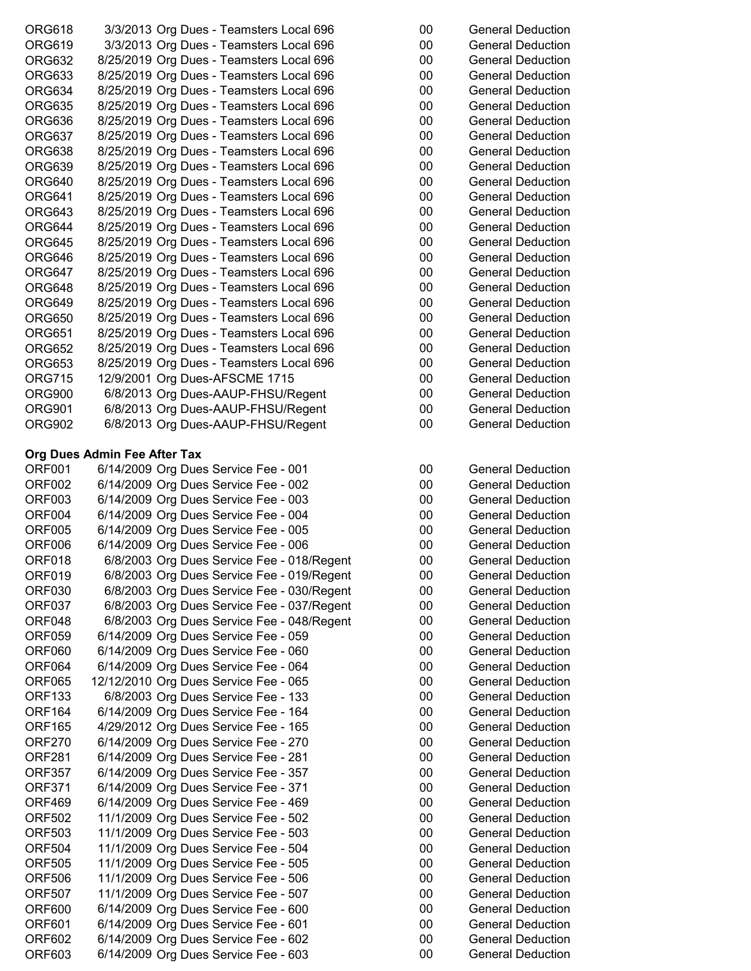| ORG618 | 3/3/2013 Org Dues - Teamsters Local 696  | 00 | <b>General Deduction</b> |
|--------|------------------------------------------|----|--------------------------|
| ORG619 | 3/3/2013 Org Dues - Teamsters Local 696  | 00 | <b>General Deduction</b> |
| ORG632 | 8/25/2019 Org Dues - Teamsters Local 696 | 00 | <b>General Deduction</b> |
| ORG633 | 8/25/2019 Org Dues - Teamsters Local 696 | 00 | <b>General Deduction</b> |
| ORG634 | 8/25/2019 Org Dues - Teamsters Local 696 | 00 | <b>General Deduction</b> |
| ORG635 | 8/25/2019 Org Dues - Teamsters Local 696 | 00 | <b>General Deduction</b> |
| ORG636 | 8/25/2019 Org Dues - Teamsters Local 696 | 00 | <b>General Deduction</b> |
| ORG637 | 8/25/2019 Org Dues - Teamsters Local 696 | 00 | <b>General Deduction</b> |
| ORG638 | 8/25/2019 Org Dues - Teamsters Local 696 | 00 | <b>General Deduction</b> |
| ORG639 | 8/25/2019 Org Dues - Teamsters Local 696 | 00 | <b>General Deduction</b> |
| ORG640 | 8/25/2019 Org Dues - Teamsters Local 696 | 00 | <b>General Deduction</b> |
| ORG641 | 8/25/2019 Org Dues - Teamsters Local 696 | 00 | <b>General Deduction</b> |
| ORG643 | 8/25/2019 Org Dues - Teamsters Local 696 | 00 | <b>General Deduction</b> |
| ORG644 | 8/25/2019 Org Dues - Teamsters Local 696 | 00 | <b>General Deduction</b> |
| ORG645 | 8/25/2019 Org Dues - Teamsters Local 696 | 00 | <b>General Deduction</b> |
| ORG646 | 8/25/2019 Org Dues - Teamsters Local 696 | 00 | <b>General Deduction</b> |
| ORG647 | 8/25/2019 Org Dues - Teamsters Local 696 | 00 | <b>General Deduction</b> |
| ORG648 | 8/25/2019 Org Dues - Teamsters Local 696 | 00 | <b>General Deduction</b> |
| ORG649 | 8/25/2019 Org Dues - Teamsters Local 696 | 00 | <b>General Deduction</b> |
| ORG650 | 8/25/2019 Org Dues - Teamsters Local 696 | 00 | <b>General Deduction</b> |
| ORG651 | 8/25/2019 Org Dues - Teamsters Local 696 | 00 | <b>General Deduction</b> |
| ORG652 | 8/25/2019 Org Dues - Teamsters Local 696 | 00 | <b>General Deduction</b> |
| ORG653 | 8/25/2019 Org Dues - Teamsters Local 696 | 00 | <b>General Deduction</b> |
| ORG715 | 12/9/2001 Org Dues-AFSCME 1715           | 00 | <b>General Deduction</b> |
| ORG900 | 6/8/2013 Org Dues-AAUP-FHSU/Regent       | 00 | <b>General Deduction</b> |
| ORG901 | 6/8/2013 Org Dues-AAUP-FHSU/Regent       | 00 | <b>General Deduction</b> |
| ORG902 | 6/8/2013 Org Dues-AAUP-FHSU/Regent       | 00 | <b>General Deduction</b> |
|        |                                          |    |                          |

# **Org Dues Admin Fee After Tax**

| ORF <sub>001</sub> | 6/14/2009 Org Dues Service Fee - 001       | 00 | <b>General Deduction</b> |
|--------------------|--------------------------------------------|----|--------------------------|
| ORF002             | 6/14/2009 Org Dues Service Fee - 002       | 00 | <b>General Deduction</b> |
| <b>ORF003</b>      | 6/14/2009 Org Dues Service Fee - 003       | 00 | <b>General Deduction</b> |
| ORF004             | 6/14/2009 Org Dues Service Fee - 004       | 00 | <b>General Deduction</b> |
| <b>ORF005</b>      | 6/14/2009 Org Dues Service Fee - 005       | 00 | <b>General Deduction</b> |
| ORF006             | 6/14/2009 Org Dues Service Fee - 006       | 00 | <b>General Deduction</b> |
| ORF018             | 6/8/2003 Org Dues Service Fee - 018/Regent | 00 | <b>General Deduction</b> |
| ORF019             | 6/8/2003 Org Dues Service Fee - 019/Regent | 00 | <b>General Deduction</b> |
| ORF030             | 6/8/2003 Org Dues Service Fee - 030/Regent | 00 | <b>General Deduction</b> |
| ORF037             | 6/8/2003 Org Dues Service Fee - 037/Regent | 00 | <b>General Deduction</b> |
| ORF048             | 6/8/2003 Org Dues Service Fee - 048/Regent | 00 | <b>General Deduction</b> |
| ORF059             | 6/14/2009 Org Dues Service Fee - 059       | 00 | <b>General Deduction</b> |
| ORF060             | 6/14/2009 Org Dues Service Fee - 060       | 00 | <b>General Deduction</b> |
| ORF064             | 6/14/2009 Org Dues Service Fee - 064       | 00 | <b>General Deduction</b> |
| ORF065             | 12/12/2010 Org Dues Service Fee - 065      | 00 | <b>General Deduction</b> |
| <b>ORF133</b>      | 6/8/2003 Org Dues Service Fee - 133        | 00 | <b>General Deduction</b> |
| ORF <sub>164</sub> | 6/14/2009 Org Dues Service Fee - 164       | 00 | <b>General Deduction</b> |
| <b>ORF165</b>      | 4/29/2012 Org Dues Service Fee - 165       | 00 | <b>General Deduction</b> |
| <b>ORF270</b>      | 6/14/2009 Org Dues Service Fee - 270       | 00 | <b>General Deduction</b> |
| <b>ORF281</b>      | 6/14/2009 Org Dues Service Fee - 281       | 00 | <b>General Deduction</b> |
| <b>ORF357</b>      | 6/14/2009 Org Dues Service Fee - 357       | 00 | <b>General Deduction</b> |
| <b>ORF371</b>      | 6/14/2009 Org Dues Service Fee - 371       | 00 | <b>General Deduction</b> |
| ORF469             | 6/14/2009 Org Dues Service Fee - 469       | 00 | <b>General Deduction</b> |
| <b>ORF502</b>      | 11/1/2009 Org Dues Service Fee - 502       | 00 | <b>General Deduction</b> |
| <b>ORF503</b>      | 11/1/2009 Org Dues Service Fee - 503       | 00 | <b>General Deduction</b> |
| <b>ORF504</b>      | 11/1/2009 Org Dues Service Fee - 504       | 00 | <b>General Deduction</b> |
| <b>ORF505</b>      | 11/1/2009 Org Dues Service Fee - 505       | 00 | <b>General Deduction</b> |
| <b>ORF506</b>      | 11/1/2009 Org Dues Service Fee - 506       | 00 | <b>General Deduction</b> |
| <b>ORF507</b>      | 11/1/2009 Org Dues Service Fee - 507       | 00 | <b>General Deduction</b> |
| <b>ORF600</b>      | 6/14/2009 Org Dues Service Fee - 600       | 00 | <b>General Deduction</b> |
| ORF601             | 6/14/2009 Org Dues Service Fee - 601       | 00 | <b>General Deduction</b> |
| <b>ORF602</b>      | 6/14/2009 Org Dues Service Fee - 602       | 00 | <b>General Deduction</b> |
| <b>ORF603</b>      | 6/14/2009 Org Dues Service Fee - 603       | 00 | <b>General Deduction</b> |

| 00 | <b>General Deduction</b> |
|----|--------------------------|
| 00 | General Deduction        |
| 00 | General Deduction        |
| 00 | General Deduction        |
| 00 | General Deduction        |
| 00 | <b>General Deduction</b> |
| 00 | General Deduction        |
| 00 | General Deduction        |
| 00 | General Deduction        |
| 00 | General Deduction        |
| 00 | <b>General Deduction</b> |
| 00 | General Deduction        |
| 00 | <b>General Deduction</b> |
| 00 | General Deduction        |
| 00 | General Deduction        |
| 00 | General Deduction        |
| 00 | <b>General Deduction</b> |
| 00 | General Deduction        |
| 00 | General Deduction        |
| 00 | General Deduction        |
| 00 | General Deduction        |
| 00 | General Deduction        |
| 00 | <b>General Deduction</b> |
| 00 | <b>General Deduction</b> |
| 00 | General Deduction        |
| 00 | <b>General Deduction</b> |
| 00 | General Deduction        |
|    |                          |

| 00     | General Deduction        |
|--------|--------------------------|
| 00     | <b>General Deduction</b> |
| 00     | General Deduction        |
| 00     | <b>General Deduction</b> |
| $00\,$ | <b>General Deduction</b> |
| 00     | <b>General Deduction</b> |
| 00     | <b>General Deduction</b> |
| 00     | <b>General Deduction</b> |
| 00     | General Deduction        |
| 00     | General Deduction        |
| 00     | <b>General Deduction</b> |
| $00\,$ | <b>General Deduction</b> |
| 00     | <b>General Deduction</b> |
| 00     | General Deduction        |
| 00     | <b>General Deduction</b> |
| 00     | <b>General Deduction</b> |
| $00\,$ | General Deduction        |
| $00\,$ | <b>General Deduction</b> |
| 00     | <b>General Deduction</b> |
| 00     | <b>General Deduction</b> |
| 00     | <b>General Deduction</b> |
| $00\,$ | <b>General Deduction</b> |
| 00     | <b>General Deduction</b> |
| 00     | General Deduction        |
| $00\,$ | <b>General Deduction</b> |
| 00     | <b>General Deduction</b> |
| 00     | <b>General Deduction</b> |
| 00     | <b>General Deduction</b> |
| $00\,$ | <b>General Deduction</b> |
| 00     | <b>General Deduction</b> |
| 00     | <b>General Deduction</b> |
| 00     | <b>General Deduction</b> |
| 00     | <b>General Deduction</b> |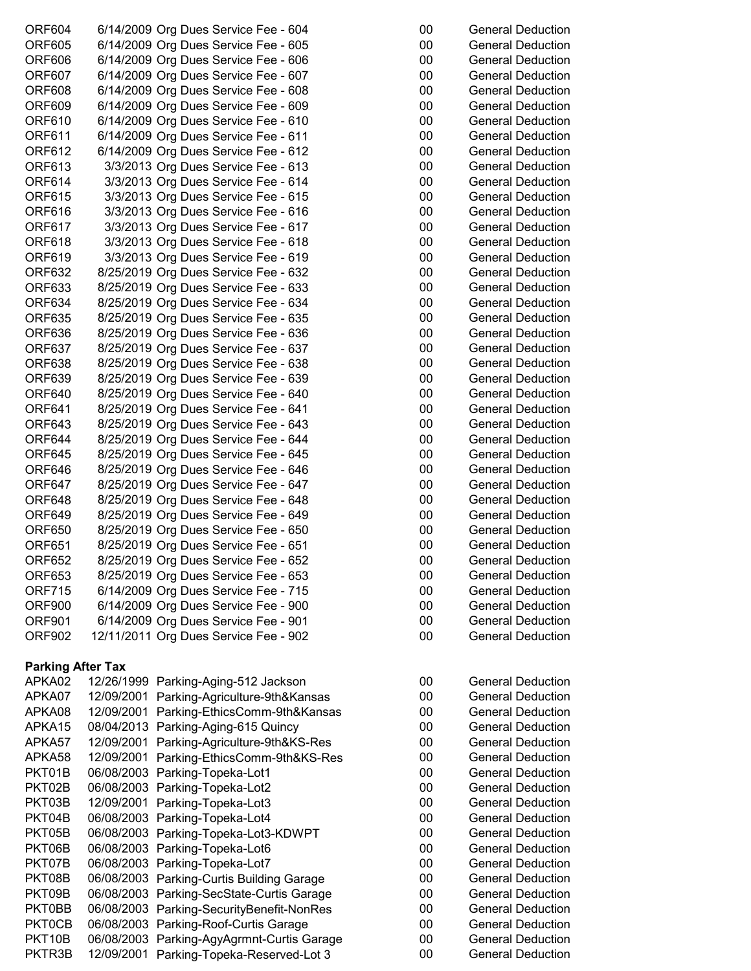| <b>ORF604</b> | 6/14/2009 Org Dues Service Fee - 604  | 00     | <b>General Deduction</b> |
|---------------|---------------------------------------|--------|--------------------------|
| <b>ORF605</b> | 6/14/2009 Org Dues Service Fee - 605  | 00     | General Deduction        |
| <b>ORF606</b> | 6/14/2009 Org Dues Service Fee - 606  | $00\,$ | <b>General Deduction</b> |
| <b>ORF607</b> | 6/14/2009 Org Dues Service Fee - 607  | $00\,$ | <b>General Deduction</b> |
| <b>ORF608</b> | 6/14/2009 Org Dues Service Fee - 608  | $00\,$ | <b>General Deduction</b> |
| <b>ORF609</b> | 6/14/2009 Org Dues Service Fee - 609  | 00     | <b>General Deduction</b> |
| ORF610        | 6/14/2009 Org Dues Service Fee - 610  | 00     | <b>General Deduction</b> |
| <b>ORF611</b> | 6/14/2009 Org Dues Service Fee - 611  | 00     | <b>General Deduction</b> |
| ORF612        | 6/14/2009 Org Dues Service Fee - 612  | $00\,$ | General Deduction        |
| <b>ORF613</b> | 3/3/2013 Org Dues Service Fee - 613   | $00\,$ | <b>General Deduction</b> |
| <b>ORF614</b> | 3/3/2013 Org Dues Service Fee - 614   | 00     | <b>General Deduction</b> |
| <b>ORF615</b> | 3/3/2013 Org Dues Service Fee - 615   | 00     | <b>General Deduction</b> |
| <b>ORF616</b> | 3/3/2013 Org Dues Service Fee - 616   | 00     | <b>General Deduction</b> |
| ORF617        | 3/3/2013 Org Dues Service Fee - 617   | $00\,$ | <b>General Deduction</b> |
| <b>ORF618</b> | 3/3/2013 Org Dues Service Fee - 618   | $00\,$ | <b>General Deduction</b> |
| ORF619        | 3/3/2013 Org Dues Service Fee - 619   | 00     | <b>General Deduction</b> |
| ORF632        | 8/25/2019 Org Dues Service Fee - 632  | $00\,$ | <b>General Deduction</b> |
| <b>ORF633</b> | 8/25/2019 Org Dues Service Fee - 633  | 00     | <b>General Deduction</b> |
| ORF634        | 8/25/2019 Org Dues Service Fee - 634  | $00\,$ | <b>General Deduction</b> |
| <b>ORF635</b> | 8/25/2019 Org Dues Service Fee - 635  | 00     | <b>General Deduction</b> |
| ORF636        | 8/25/2019 Org Dues Service Fee - 636  | $00\,$ | <b>General Deduction</b> |
| <b>ORF637</b> | 8/25/2019 Org Dues Service Fee - 637  | $00\,$ | <b>General Deduction</b> |
| <b>ORF638</b> | 8/25/2019 Org Dues Service Fee - 638  | $00\,$ | <b>General Deduction</b> |
| <b>ORF639</b> | 8/25/2019 Org Dues Service Fee - 639  | $00\,$ | <b>General Deduction</b> |
| <b>ORF640</b> | 8/25/2019 Org Dues Service Fee - 640  | 00     | <b>General Deduction</b> |
| <b>ORF641</b> | 8/25/2019 Org Dues Service Fee - 641  | $00\,$ | <b>General Deduction</b> |
| ORF643        | 8/25/2019 Org Dues Service Fee - 643  | $00\,$ | <b>General Deduction</b> |
| ORF644        | 8/25/2019 Org Dues Service Fee - 644  | $00\,$ | <b>General Deduction</b> |
| <b>ORF645</b> | 8/25/2019 Org Dues Service Fee - 645  | $00\,$ | General Deduction        |
| <b>ORF646</b> | 8/25/2019 Org Dues Service Fee - 646  | 00     | <b>General Deduction</b> |
| <b>ORF647</b> | 8/25/2019 Org Dues Service Fee - 647  | $00\,$ | <b>General Deduction</b> |
| ORF648        | 8/25/2019 Org Dues Service Fee - 648  | 00     | <b>General Deduction</b> |
| <b>ORF649</b> | 8/25/2019 Org Dues Service Fee - 649  | $00\,$ | <b>General Deduction</b> |
| ORF650        | 8/25/2019 Org Dues Service Fee - 650  | $00\,$ | <b>General Deduction</b> |
| <b>ORF651</b> | 8/25/2019 Org Dues Service Fee - 651  | $00\,$ | <b>General Deduction</b> |
| <b>ORF652</b> | 8/25/2019 Org Dues Service Fee - 652  | $00\,$ | <b>General Deduction</b> |
| <b>ORF653</b> | 8/25/2019 Org Dues Service Fee - 653  | $00\,$ | <b>General Deduction</b> |
| <b>ORF715</b> | 6/14/2009 Org Dues Service Fee - 715  | $00\,$ | <b>General Deduction</b> |
| <b>ORF900</b> | 6/14/2009 Org Dues Service Fee - 900  | $00\,$ | <b>General Deduction</b> |
| <b>ORF901</b> | 6/14/2009 Org Dues Service Fee - 901  | 00     | <b>General Deduction</b> |
| <b>ORF902</b> | 12/11/2011 Org Dues Service Fee - 902 | 00     | <b>General Deduction</b> |

# **Parking After Tax**

| APKA02              | 12/26/1999 Parking-Aging-512 Jackson       | 00 | <b>General Deduction</b> |
|---------------------|--------------------------------------------|----|--------------------------|
| APKA07              | 12/09/2001 Parking-Agriculture-9th&Kansas  | 00 | <b>General Deduction</b> |
| APKA08              | 12/09/2001 Parking-EthicsComm-9th&Kansas   | 00 | <b>General Deduction</b> |
| APKA15              | 08/04/2013 Parking-Aging-615 Quincy        | 00 | <b>General Deduction</b> |
| APKA57              | 12/09/2001 Parking-Agriculture-9th&KS-Res  | 00 | <b>General Deduction</b> |
| APKA58              | 12/09/2001 Parking-EthicsComm-9th&KS-Res   | 00 | <b>General Deduction</b> |
| PKT01B              | 06/08/2003 Parking-Topeka-Lot1             | 00 | <b>General Deduction</b> |
| PKT02B              | 06/08/2003 Parking-Topeka-Lot2             | 00 | <b>General Deduction</b> |
| PKT03B              | 12/09/2001 Parking-Topeka-Lot3             | 00 | <b>General Deduction</b> |
| PKT04B              | 06/08/2003 Parking-Topeka-Lot4             | 00 | <b>General Deduction</b> |
| PKT05B              | 06/08/2003 Parking-Topeka-Lot3-KDWPT       | 00 | <b>General Deduction</b> |
| PKT06B              | 06/08/2003 Parking-Topeka-Lot6             | 00 | <b>General Deduction</b> |
| PKT07B              | 06/08/2003 Parking-Topeka-Lot7             | 00 | <b>General Deduction</b> |
| PKT08B              | 06/08/2003 Parking-Curtis Building Garage  | 00 | <b>General Deduction</b> |
| PKT09B              | 06/08/2003 Parking-SecState-Curtis Garage  | 00 | <b>General Deduction</b> |
| PKT0BB              | 06/08/2003 Parking-SecurityBenefit-NonRes  | 00 | <b>General Deduction</b> |
| PKT0CB              | 06/08/2003 Parking-Roof-Curtis Garage      | 00 | <b>General Deduction</b> |
| PKT <sub>10</sub> B | 06/08/2003 Parking-AgyAgrmnt-Curtis Garage | 00 | <b>General Deduction</b> |
| PKTR3B              | 12/09/2001 Parking-Topeka-Reserved-Lot 3   | 00 | <b>General Deduction</b> |

| 00 | <b>General Deduction</b> |
|----|--------------------------|
| 00 | <b>General Deduction</b> |
| 00 | <b>General Deduction</b> |
| 00 | <b>General Deduction</b> |
| 00 | <b>General Deduction</b> |
| 00 | <b>General Deduction</b> |
| 00 | <b>General Deduction</b> |
| 00 | <b>General Deduction</b> |
| 00 | <b>General Deduction</b> |
| 00 | <b>General Deduction</b> |
| 00 | <b>General Deduction</b> |
| 00 | <b>General Deduction</b> |
| 00 | <b>General Deduction</b> |
| 00 | <b>General Deduction</b> |
| 00 | <b>General Deduction</b> |
| 00 | <b>General Deduction</b> |
| 00 | <b>General Deduction</b> |
| 00 | <b>General Deduction</b> |
| 00 | <b>General Deduction</b> |
| 00 | <b>General Deduction</b> |
| 00 | <b>General Deduction</b> |
| 00 | <b>General Deduction</b> |
| 00 | <b>General Deduction</b> |
| 00 | <b>General Deduction</b> |
| 00 | <b>General Deduction</b> |
| 00 | <b>General Deduction</b> |
| 00 | <b>General Deduction</b> |
| 00 | <b>General Deduction</b> |
| 00 | <b>General Deduction</b> |
| 00 | <b>General Deduction</b> |
| 00 | <b>General Deduction</b> |
| 00 | <b>General Deduction</b> |
| 00 | <b>General Deduction</b> |
| 00 | <b>General Deduction</b> |
| 00 | <b>General Deduction</b> |
| 00 | <b>General Deduction</b> |
| 00 | <b>General Deduction</b> |
| 00 | General Deduction        |
| 00 | <b>General Deduction</b> |
| 00 | General Deduction        |
| 00 | <b>General Deduction</b> |
|    |                          |
|    |                          |
| 00 | <b>General Deduction</b> |

| υυ | OCHCLAI DCUUCUUH  |
|----|-------------------|
| 00 | General Deduction |
| 00 | General Deduction |
| 00 | General Deduction |
| 00 | General Deduction |
| 00 | General Deduction |
| 00 | General Deduction |
| 00 | General Deduction |
| 00 | General Deduction |
| 00 | General Deduction |
| 00 | General Deduction |
| 00 | General Deduction |
| 00 | General Deduction |
| 00 | General Deduction |
| 00 | General Deduction |
| 00 | General Deduction |
| 00 | General Deduction |
| 00 | General Deduction |
| 00 | General Deduction |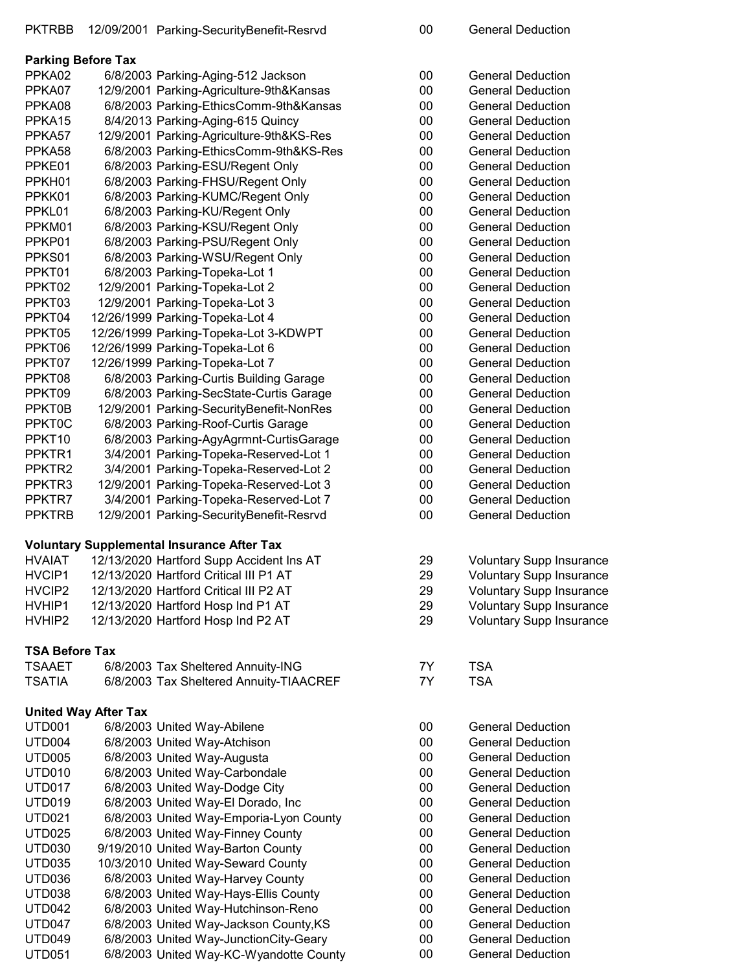# PKTRBB 12/09/2001 Parking-SecurityBenefit-Resrvd 00 General Deduction

|                    | <b>Parking Before Tax</b> |                                          |        |                          |
|--------------------|---------------------------|------------------------------------------|--------|--------------------------|
| PPKA02             |                           | 6/8/2003 Parking-Aging-512 Jackson       | 00     | <b>General Deduction</b> |
| PPKA07             |                           | 12/9/2001 Parking-Agriculture-9th&Kansas | 00     | <b>General Deduction</b> |
| PPKA08             |                           | 6/8/2003 Parking-EthicsComm-9th&Kansas   | 00     | <b>General Deduction</b> |
| PPKA <sub>15</sub> |                           | 8/4/2013 Parking-Aging-615 Quincy        | 00     | <b>General Deduction</b> |
| PPKA57             |                           | 12/9/2001 Parking-Agriculture-9th&KS-Res | 00     | <b>General Deduction</b> |
| PPKA58             |                           | 6/8/2003 Parking-EthicsComm-9th&KS-Res   | 00     | <b>General Deduction</b> |
| PPKE01             |                           | 6/8/2003 Parking-ESU/Regent Only         | $00\,$ | <b>General Deduction</b> |
| PPKH01             |                           | 6/8/2003 Parking-FHSU/Regent Only        | 00     | <b>General Deduction</b> |
| PPKK01             |                           | 6/8/2003 Parking-KUMC/Regent Only        | $00\,$ | <b>General Deduction</b> |
| PPKL01             |                           | 6/8/2003 Parking-KU/Regent Only          | 00     | <b>General Deduction</b> |
| PPKM01             |                           | 6/8/2003 Parking-KSU/Regent Only         | 00     | <b>General Deduction</b> |
| PPKP01             |                           | 6/8/2003 Parking-PSU/Regent Only         | 00     | <b>General Deduction</b> |
| PPKS01             |                           | 6/8/2003 Parking-WSU/Regent Only         | 00     | <b>General Deduction</b> |
| PPKT01             |                           | 6/8/2003 Parking-Topeka-Lot 1            | 00     | <b>General Deduction</b> |
| PPKT02             |                           | 12/9/2001 Parking-Topeka-Lot 2           | 00     | <b>General Deduction</b> |
| PPKT03             |                           | 12/9/2001 Parking-Topeka-Lot 3           | 00     | <b>General Deduction</b> |
| PPKT04             |                           | 12/26/1999 Parking-Topeka-Lot 4          | 00     | <b>General Deduction</b> |
| PPKT05             |                           | 12/26/1999 Parking-Topeka-Lot 3-KDWPT    | 00     | <b>General Deduction</b> |
| PPKT06             |                           | 12/26/1999 Parking-Topeka-Lot 6          | 00     | <b>General Deduction</b> |
| PPKT07             |                           | 12/26/1999 Parking-Topeka-Lot 7          | 00     | <b>General Deduction</b> |
| PPKT08             |                           | 6/8/2003 Parking-Curtis Building Garage  | 00     | <b>General Deduction</b> |
| PPKT09             |                           | 6/8/2003 Parking-SecState-Curtis Garage  | 00     | <b>General Deduction</b> |
| PPKT0B             |                           | 12/9/2001 Parking-SecurityBenefit-NonRes | 00     | <b>General Deduction</b> |
| <b>PPKT0C</b>      |                           | 6/8/2003 Parking-Roof-Curtis Garage      | $00\,$ | <b>General Deduction</b> |
| PPKT <sub>10</sub> |                           | 6/8/2003 Parking-AgyAgrmnt-CurtisGarage  | 00     | <b>General Deduction</b> |
| PPKTR1             |                           | 3/4/2001 Parking-Topeka-Reserved-Lot 1   | 00     | <b>General Deduction</b> |
| PPKTR <sub>2</sub> |                           | 3/4/2001 Parking-Topeka-Reserved-Lot 2   | 00     | <b>General Deduction</b> |
| PPKTR <sub>3</sub> |                           | 12/9/2001 Parking-Topeka-Reserved-Lot 3  | 00     | <b>General Deduction</b> |
| PPKTR7             |                           | 3/4/2001 Parking-Topeka-Reserved-Lot 7   | 00     | <b>General Deduction</b> |
| <b>PPKTRB</b>      |                           | 12/9/2001 Parking-SecurityBenefit-Resrvd | 00     | <b>General Deduction</b> |

## **Voluntary Supplemental Insurance After Tax**

| <b>HVAIAT</b> | 12/13/2020 Hartford Supp Accident Ins AT | 29  | <b>Voluntary Supp Insurance</b> |
|---------------|------------------------------------------|-----|---------------------------------|
| HVCIP1        | 12/13/2020 Hartford Critical III P1 AT   | -29 | <b>Voluntary Supp Insurance</b> |
| HVCIP2        | 12/13/2020 Hartford Critical III P2 AT   | 29  | <b>Voluntary Supp Insurance</b> |
| HVHIP1        | 12/13/2020 Hartford Hosp Ind P1 AT       | -29 | <b>Voluntary Supp Insurance</b> |
| HVHIP2        | 12/13/2020 Hartford Hosp Ind P2 AT       | 29  | <b>Voluntary Supp Insurance</b> |

### **TSA Before Tax**

| TSAAET | 6/8/2003 Tax Sheltered Annuity-ING      | <b>TSA</b> |
|--------|-----------------------------------------|------------|
| TSATIA | 6/8/2003 Tax Sheltered Annuity-TIAACREF | TSA        |

# **United Way After Tax**

| UTD001             | 6/8/2003 United Way-Abilene             | 00 | <b>General Deduction</b> |
|--------------------|-----------------------------------------|----|--------------------------|
| UTD <sub>004</sub> | 6/8/2003 United Way-Atchison            | 00 | <b>General Deduction</b> |
| UTD <sub>005</sub> | 6/8/2003 United Way-Augusta             | 00 | <b>General Deduction</b> |
| UTD <sub>010</sub> | 6/8/2003 United Way-Carbondale          | 00 | <b>General Deduction</b> |
| UTD <sub>017</sub> | 6/8/2003 United Way-Dodge City          | 00 | <b>General Deduction</b> |
| UTD <sub>019</sub> | 6/8/2003 United Way-El Dorado, Inc.     | 00 | <b>General Deduction</b> |
| <b>UTD021</b>      | 6/8/2003 United Way-Emporia-Lyon County | 00 | <b>General Deduction</b> |
| UTD <sub>025</sub> | 6/8/2003 United Way-Finney County       | 00 | <b>General Deduction</b> |
| <b>UTD030</b>      | 9/19/2010 United Way-Barton County      | 00 | <b>General Deduction</b> |
| UTD035             | 10/3/2010 United Way-Seward County      | 00 | <b>General Deduction</b> |
| UTD <sub>036</sub> | 6/8/2003 United Way-Harvey County       | 00 | <b>General Deduction</b> |
| UTD038             | 6/8/2003 United Way-Hays-Ellis County   | 00 | <b>General Deduction</b> |
| UTD <sub>042</sub> | 6/8/2003 United Way-Hutchinson-Reno     | 00 | <b>General Deduction</b> |
| UTD <sub>047</sub> | 6/8/2003 United Way-Jackson County, KS  | 00 | <b>General Deduction</b> |
| UTD <sub>049</sub> | 6/8/2003 United Way-JunctionCity-Geary  | 00 | <b>General Deduction</b> |
| UTD <sub>051</sub> | 6/8/2003 United Way-KC-Wyandotte County | 00 | <b>General Deduction</b> |
|                    |                                         |    |                          |

| υυ | OCHCIAI DCUUCIIOH               |
|----|---------------------------------|
| 00 | <b>General Deduction</b>        |
| 00 | <b>General Deduction</b>        |
| 00 | <b>General Deduction</b>        |
| 00 | <b>General Deduction</b>        |
| 00 | <b>General Deduction</b>        |
| 00 | <b>General Deduction</b>        |
| 00 | <b>General Deduction</b>        |
| 00 | <b>General Deduction</b>        |
| 00 | <b>General Deduction</b>        |
| 00 | <b>General Deduction</b>        |
| 00 | <b>General Deduction</b>        |
| 00 | <b>General Deduction</b>        |
| 00 | <b>General Deduction</b>        |
| 00 | <b>General Deduction</b>        |
| 00 | <b>General Deduction</b>        |
| 00 | <b>General Deduction</b>        |
| 00 | <b>General Deduction</b>        |
| 00 | <b>General Deduction</b>        |
| 00 | <b>General Deduction</b>        |
| 00 | <b>General Deduction</b>        |
| 00 | <b>General Deduction</b>        |
| 00 | <b>General Deduction</b>        |
| 00 | <b>General Deduction</b>        |
| 00 | <b>General Deduction</b>        |
| 00 | General Deduction               |
| 00 | <b>General Deduction</b>        |
| 00 | <b>General Deduction</b>        |
| 00 | <b>General Deduction</b>        |
| 00 | <b>General Deduction</b>        |
| 29 | <b>Voluntary Supp Insurance</b> |
| 29 | <b>Voluntary Supp Insurance</b> |
| 29 | <b>Voluntary Supp Insurance</b> |
| 29 | <b>Voluntary Supp Insurance</b> |
| 29 | <b>Voluntary Supp Insurance</b> |
| 7Υ | TSA                             |
| 7Υ | <b>TSA</b>                      |
| 00 | <b>General Deduction</b>        |
| 00 | <b>General Deduction</b>        |
| 00 | <b>General Deduction</b>        |
| 00 | <b>General Deduction</b>        |
| 00 | <b>General Deduction</b>        |
| 00 | <b>General Deduction</b>        |
| 00 | <b>General Deduction</b>        |
| 00 | <b>General Deduction</b>        |
| 00 | <b>General Deduction</b>        |
| 00 | <b>General Deduction</b>        |
| 00 | <b>General Deduction</b>        |
| 00 | <b>General Deduction</b>        |
| 00 | <b>General Deduction</b>        |
| 00 | <b>General Deduction</b>        |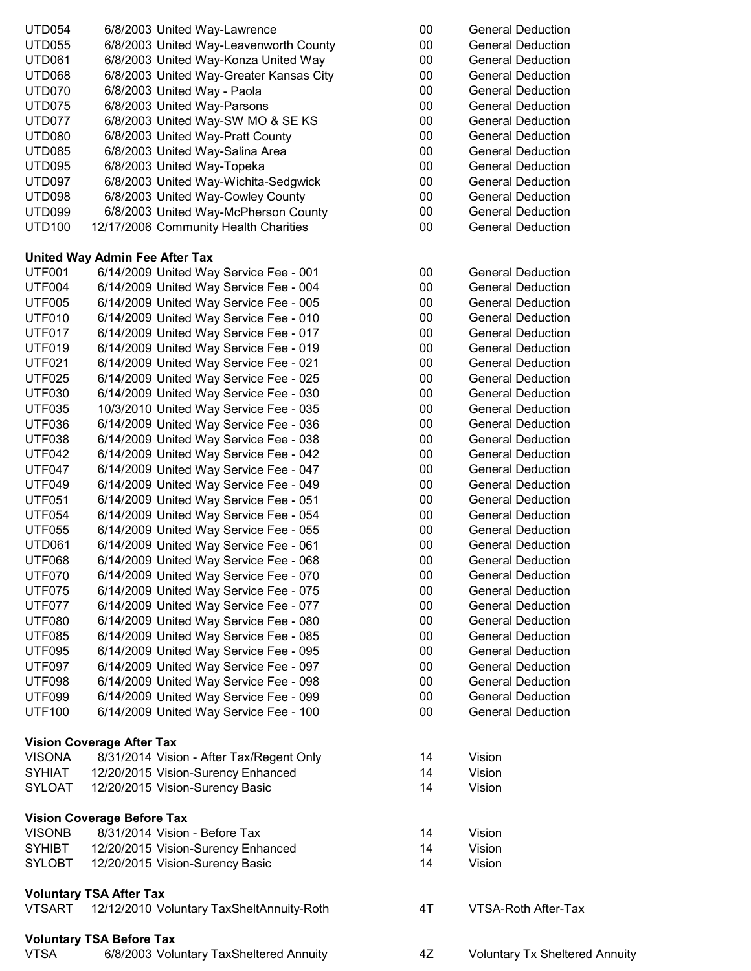| <b>UTD054</b>                  | 6/8/2003 United Way-Lawrence                                                     | 00       | <b>General Deduction</b>                             |
|--------------------------------|----------------------------------------------------------------------------------|----------|------------------------------------------------------|
| <b>UTD055</b>                  | 6/8/2003 United Way-Leavenworth County                                           | 00       | <b>General Deduction</b>                             |
| <b>UTD061</b>                  | 6/8/2003 United Way-Konza United Way                                             | 00       | <b>General Deduction</b>                             |
| <b>UTD068</b>                  | 6/8/2003 United Way-Greater Kansas City                                          | 00       | <b>General Deduction</b>                             |
| <b>UTD070</b>                  | 6/8/2003 United Way - Paola                                                      | 00       | <b>General Deduction</b>                             |
| <b>UTD075</b>                  | 6/8/2003 United Way-Parsons                                                      | 00       | <b>General Deduction</b>                             |
| <b>UTD077</b>                  | 6/8/2003 United Way-SW MO & SE KS                                                | 00       | <b>General Deduction</b>                             |
| <b>UTD080</b>                  | 6/8/2003 United Way-Pratt County                                                 | 00       | <b>General Deduction</b>                             |
| <b>UTD085</b>                  | 6/8/2003 United Way-Salina Area                                                  | 00       | <b>General Deduction</b>                             |
| <b>UTD095</b>                  | 6/8/2003 United Way-Topeka                                                       | 00       | <b>General Deduction</b>                             |
| <b>UTD097</b>                  | 6/8/2003 United Way-Wichita-Sedgwick                                             | 00       | <b>General Deduction</b>                             |
| <b>UTD098</b>                  | 6/8/2003 United Way-Cowley County                                                | 00       | <b>General Deduction</b>                             |
| <b>UTD099</b>                  | 6/8/2003 United Way-McPherson County                                             | 00       | <b>General Deduction</b>                             |
| <b>UTD100</b>                  | 12/17/2006 Community Health Charities                                            | 00       | <b>General Deduction</b>                             |
|                                | United Way Admin Fee After Tax                                                   |          |                                                      |
| <b>UTF001</b>                  | 6/14/2009 United Way Service Fee - 001                                           | $00\,$   | <b>General Deduction</b>                             |
| <b>UTF004</b>                  | 6/14/2009 United Way Service Fee - 004                                           | 00       | <b>General Deduction</b>                             |
| <b>UTF005</b>                  | 6/14/2009 United Way Service Fee - 005                                           | 00       | <b>General Deduction</b>                             |
| <b>UTF010</b>                  | 6/14/2009 United Way Service Fee - 010                                           | 00       | <b>General Deduction</b>                             |
| <b>UTF017</b>                  | 6/14/2009 United Way Service Fee - 017                                           | 00       | <b>General Deduction</b>                             |
| <b>UTF019</b>                  | 6/14/2009 United Way Service Fee - 019                                           | 00       | <b>General Deduction</b>                             |
| <b>UTF021</b>                  | 6/14/2009 United Way Service Fee - 021                                           | 00       | <b>General Deduction</b>                             |
| <b>UTF025</b>                  | 6/14/2009 United Way Service Fee - 025                                           | 00       | <b>General Deduction</b>                             |
| <b>UTF030</b>                  | 6/14/2009 United Way Service Fee - 030                                           | 00       | <b>General Deduction</b>                             |
| <b>UTF035</b>                  | 10/3/2010 United Way Service Fee - 035                                           | 00       | <b>General Deduction</b>                             |
| <b>UTF036</b>                  | 6/14/2009 United Way Service Fee - 036                                           | 00       | <b>General Deduction</b>                             |
| <b>UTF038</b>                  | 6/14/2009 United Way Service Fee - 038                                           | 00       | <b>General Deduction</b>                             |
| <b>UTF042</b>                  | 6/14/2009 United Way Service Fee - 042                                           | 00       | <b>General Deduction</b>                             |
| <b>UTF047</b>                  | 6/14/2009 United Way Service Fee - 047                                           | 00       | <b>General Deduction</b>                             |
| <b>UTF049</b>                  | 6/14/2009 United Way Service Fee - 049                                           | 00       | <b>General Deduction</b>                             |
| <b>UTF051</b>                  | 6/14/2009 United Way Service Fee - 051                                           | 00       | <b>General Deduction</b>                             |
| <b>UTF054</b>                  | 6/14/2009 United Way Service Fee - 054                                           | 00       | <b>General Deduction</b><br><b>General Deduction</b> |
| <b>UTF055</b><br><b>UTD061</b> | 6/14/2009 United Way Service Fee - 055                                           | 00<br>00 | <b>General Deduction</b>                             |
| <b>UTF068</b>                  | 6/14/2009 United Way Service Fee - 061<br>6/14/2009 United Way Service Fee - 068 | 00       | <b>General Deduction</b>                             |
| <b>UTF070</b>                  | 6/14/2009 United Way Service Fee - 070                                           | 00       | <b>General Deduction</b>                             |
| <b>UTF075</b>                  | 6/14/2009 United Way Service Fee - 075                                           | 00       | <b>General Deduction</b>                             |
| <b>UTF077</b>                  | 6/14/2009 United Way Service Fee - 077                                           | 00       | <b>General Deduction</b>                             |
| <b>UTF080</b>                  | 6/14/2009 United Way Service Fee - 080                                           | 00       | <b>General Deduction</b>                             |
| <b>UTF085</b>                  | 6/14/2009 United Way Service Fee - 085                                           | 00       | <b>General Deduction</b>                             |
| <b>UTF095</b>                  | 6/14/2009 United Way Service Fee - 095                                           | 00       | <b>General Deduction</b>                             |
| <b>UTF097</b>                  | 6/14/2009 United Way Service Fee - 097                                           | 00       | <b>General Deduction</b>                             |
| <b>UTF098</b>                  | 6/14/2009 United Way Service Fee - 098                                           | 00       | <b>General Deduction</b>                             |
| <b>UTF099</b>                  | 6/14/2009 United Way Service Fee - 099                                           | $00\,$   | <b>General Deduction</b>                             |
| <b>UTF100</b>                  | 6/14/2009 United Way Service Fee - 100                                           | 00       | <b>General Deduction</b>                             |
|                                | <b>Vision Coverage After Tax</b>                                                 |          |                                                      |
| <b>VISONA</b>                  | 8/31/2014 Vision - After Tax/Regent Only                                         | 14       | Vision                                               |
| <b>SYHIAT</b>                  | 12/20/2015 Vision-Surency Enhanced                                               | 14       | Vision                                               |
| <b>SYLOAT</b>                  | 12/20/2015 Vision-Surency Basic                                                  | 14       | Vision                                               |
|                                | <b>Vision Coverage Before Tax</b>                                                |          |                                                      |
| <b>VISONB</b>                  | 8/31/2014 Vision - Before Tax                                                    | 14       | Vision                                               |
| <b>SYHIBT</b>                  | 12/20/2015 Vision-Surency Enhanced                                               | 14       | Vision                                               |
| <b>SYLOBT</b>                  | 12/20/2015 Vision-Surency Basic                                                  | 14       | Vision                                               |
|                                | <b>Voluntary TSA After Tax</b>                                                   |          |                                                      |
| <b>VTSART</b>                  | 12/12/2010 Voluntary TaxSheltAnnuity-Roth                                        | 4T       | VTSA-Roth After-T                                    |
|                                | <b>Voluntary TSA Before Tax</b>                                                  |          |                                                      |
| <b>VTSA</b>                    | 6/8/2003 Voluntary TaxSheltered Annuity                                          | 4Z       | Voluntary Tx Shelt                                   |

| 00 | <b>General Deduction</b> |
|----|--------------------------|
| 00 | <b>General Deduction</b> |
| 00 | <b>General Deduction</b> |
| 00 | <b>General Deduction</b> |
| 00 | <b>General Deduction</b> |
| 00 | <b>General Deduction</b> |
| 00 | <b>General Deduction</b> |
| 00 | <b>General Deduction</b> |
| 00 | <b>General Deduction</b> |
| 00 | <b>General Deduction</b> |
| 00 | <b>General Deduction</b> |
| 00 | <b>General Deduction</b> |
| 00 | General Deduction        |
| 00 | General Deduction        |
|    |                          |
| 00 | <b>General Deduction</b> |
| 00 | <b>General Deduction</b> |
| 00 | <b>General Deduction</b> |
| 00 | <b>General Deduction</b> |
| 00 | <b>General Deduction</b> |
| 00 | <b>General Deduction</b> |
| 00 | <b>General Deduction</b> |
| 00 | <b>General Deduction</b> |
| 00 | <b>General Deduction</b> |
| 00 | <b>General Deduction</b> |
| 00 | <b>General Deduction</b> |
| 00 | <b>General Deduction</b> |
| 00 | <b>General Deduction</b> |
| 00 | <b>General Deduction</b> |
| 00 | <b>General Deduction</b> |
| 00 | <b>General Deduction</b> |
| 00 | <b>General Deduction</b> |
| 00 | <b>General Deduction</b> |
|    |                          |

- 00 General Deduction<br>00 General Deduction General Deduction
- 00 General Deduction<br>00 General Deduction General Deduction
- 00 General Deduction<br>00 General Deduction
- 00 General Deduction<br>00 General Deduction
- **General Deduction**
- 00 General Deduction<br>00 General Deduction
- 00 General Deduction<br>00 General Deduction
- 00 General Deduction<br>00 General Deduction General Deduction
- 00 General Deduction

- 
- 
- 
- 
- 4T VTSA-Roth After-Tax
- 4Z Voluntary Tx Sheltered Annuity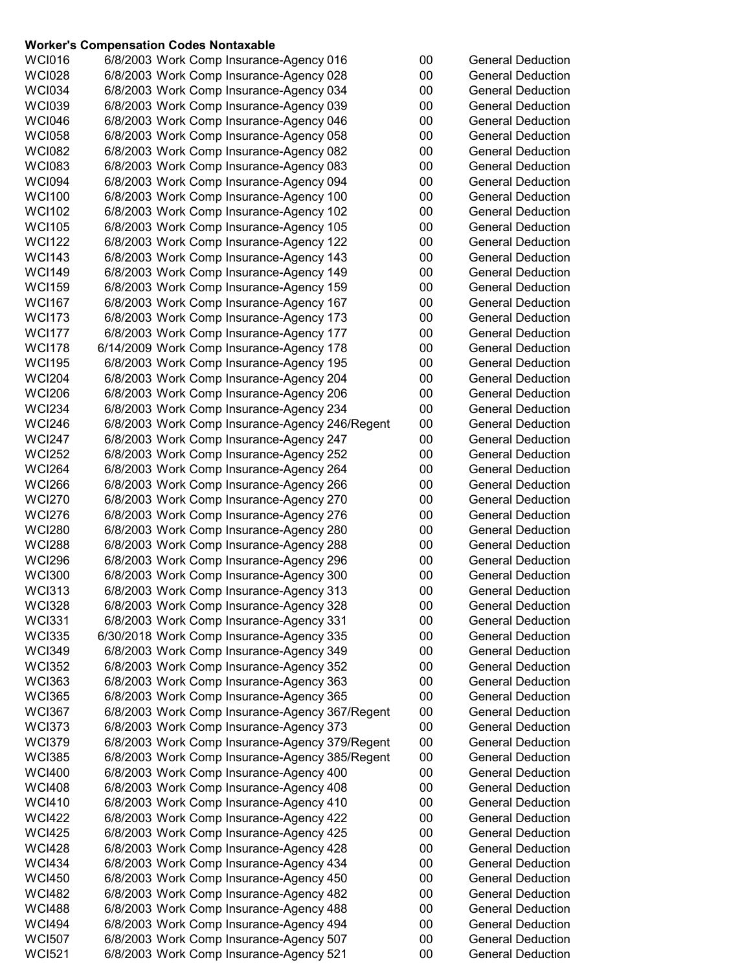#### **Worker's Compensation Codes Nontaxable**

| <b>WCI016</b> | 6/8/2003 Work Comp Insurance-Agency 016        | 00 | <b>General Deduction</b> |
|---------------|------------------------------------------------|----|--------------------------|
| <b>WCI028</b> | 6/8/2003 Work Comp Insurance-Agency 028        | 00 | <b>General Deduction</b> |
| <b>WCI034</b> | 6/8/2003 Work Comp Insurance-Agency 034        | 00 | <b>General Deduction</b> |
| <b>WCI039</b> | 6/8/2003 Work Comp Insurance-Agency 039        | 00 | <b>General Deduction</b> |
| <b>WCI046</b> | 6/8/2003 Work Comp Insurance-Agency 046        | 00 | <b>General Deduction</b> |
| <b>WCI058</b> | 6/8/2003 Work Comp Insurance-Agency 058        | 00 | <b>General Deduction</b> |
|               |                                                |    |                          |
| <b>WCI082</b> | 6/8/2003 Work Comp Insurance-Agency 082        | 00 | <b>General Deduction</b> |
| <b>WCI083</b> | 6/8/2003 Work Comp Insurance-Agency 083        | 00 | <b>General Deduction</b> |
| <b>WCI094</b> | 6/8/2003 Work Comp Insurance-Agency 094        | 00 | <b>General Deduction</b> |
| <b>WCI100</b> | 6/8/2003 Work Comp Insurance-Agency 100        | 00 | <b>General Deduction</b> |
| <b>WCI102</b> | 6/8/2003 Work Comp Insurance-Agency 102        | 00 | <b>General Deduction</b> |
|               |                                                |    |                          |
| <b>WCI105</b> | 6/8/2003 Work Comp Insurance-Agency 105        | 00 | <b>General Deduction</b> |
| <b>WCI122</b> | 6/8/2003 Work Comp Insurance-Agency 122        | 00 | <b>General Deduction</b> |
| <b>WCI143</b> | 6/8/2003 Work Comp Insurance-Agency 143        | 00 | <b>General Deduction</b> |
| <b>WCI149</b> | 6/8/2003 Work Comp Insurance-Agency 149        | 00 | <b>General Deduction</b> |
| <b>WCI159</b> | 6/8/2003 Work Comp Insurance-Agency 159        | 00 | <b>General Deduction</b> |
|               |                                                |    |                          |
| <b>WCI167</b> | 6/8/2003 Work Comp Insurance-Agency 167        | 00 | <b>General Deduction</b> |
| <b>WCI173</b> | 6/8/2003 Work Comp Insurance-Agency 173        | 00 | <b>General Deduction</b> |
| <b>WCI177</b> | 6/8/2003 Work Comp Insurance-Agency 177        | 00 | <b>General Deduction</b> |
| <b>WCI178</b> | 6/14/2009 Work Comp Insurance-Agency 178       | 00 | <b>General Deduction</b> |
| <b>WCI195</b> | 6/8/2003 Work Comp Insurance-Agency 195        | 00 | <b>General Deduction</b> |
| <b>WCI204</b> |                                                | 00 | <b>General Deduction</b> |
|               | 6/8/2003 Work Comp Insurance-Agency 204        |    |                          |
| <b>WCI206</b> | 6/8/2003 Work Comp Insurance-Agency 206        | 00 | <b>General Deduction</b> |
| <b>WCI234</b> | 6/8/2003 Work Comp Insurance-Agency 234        | 00 | <b>General Deduction</b> |
| <b>WCI246</b> | 6/8/2003 Work Comp Insurance-Agency 246/Regent | 00 | <b>General Deduction</b> |
| <b>WCI247</b> | 6/8/2003 Work Comp Insurance-Agency 247        | 00 | <b>General Deduction</b> |
| <b>WCI252</b> | 6/8/2003 Work Comp Insurance-Agency 252        | 00 | <b>General Deduction</b> |
|               |                                                |    |                          |
| <b>WCI264</b> | 6/8/2003 Work Comp Insurance-Agency 264        | 00 | <b>General Deduction</b> |
| <b>WCI266</b> | 6/8/2003 Work Comp Insurance-Agency 266        | 00 | <b>General Deduction</b> |
| <b>WCI270</b> | 6/8/2003 Work Comp Insurance-Agency 270        | 00 | <b>General Deduction</b> |
| <b>WCI276</b> | 6/8/2003 Work Comp Insurance-Agency 276        | 00 | <b>General Deduction</b> |
| <b>WCI280</b> | 6/8/2003 Work Comp Insurance-Agency 280        | 00 | <b>General Deduction</b> |
| <b>WCI288</b> | 6/8/2003 Work Comp Insurance-Agency 288        | 00 | <b>General Deduction</b> |
|               |                                                |    |                          |
| <b>WCI296</b> | 6/8/2003 Work Comp Insurance-Agency 296        | 00 | <b>General Deduction</b> |
| <b>WCI300</b> | 6/8/2003 Work Comp Insurance-Agency 300        | 00 | <b>General Deduction</b> |
| <b>WCI313</b> | 6/8/2003 Work Comp Insurance-Agency 313        | 00 | <b>General Deduction</b> |
| <b>WCI328</b> | 6/8/2003 Work Comp Insurance-Agency 328        | 00 | <b>General Deduction</b> |
| <b>WCI331</b> | 6/8/2003 Work Comp Insurance-Agency 331        | 00 | <b>General Deduction</b> |
| <b>WCI335</b> | 6/30/2018 Work Comp Insurance-Agency 335       | 00 | <b>General Deduction</b> |
|               |                                                |    |                          |
| <b>WCI349</b> | 6/8/2003 Work Comp Insurance-Agency 349        | 00 | <b>General Deduction</b> |
| <b>WCI352</b> | 6/8/2003 Work Comp Insurance-Agency 352        | 00 | <b>General Deduction</b> |
| <b>WCI363</b> | 6/8/2003 Work Comp Insurance-Agency 363        | 00 | <b>General Deduction</b> |
| <b>WCI365</b> | 6/8/2003 Work Comp Insurance-Agency 365        | 00 | <b>General Deduction</b> |
| <b>WCI367</b> | 6/8/2003 Work Comp Insurance-Agency 367/Regent | 00 | <b>General Deduction</b> |
|               |                                                |    |                          |
| <b>WCI373</b> | 6/8/2003 Work Comp Insurance-Agency 373        | 00 | <b>General Deduction</b> |
| WCI379        | 6/8/2003 Work Comp Insurance-Agency 379/Regent | 00 | <b>General Deduction</b> |
| <b>WCI385</b> | 6/8/2003 Work Comp Insurance-Agency 385/Regent | 00 | <b>General Deduction</b> |
| <b>WCI400</b> | 6/8/2003 Work Comp Insurance-Agency 400        | 00 | <b>General Deduction</b> |
| <b>WCI408</b> | 6/8/2003 Work Comp Insurance-Agency 408        | 00 | <b>General Deduction</b> |
| <b>WCI410</b> | 6/8/2003 Work Comp Insurance-Agency 410        | 00 | <b>General Deduction</b> |
|               |                                                |    |                          |
| <b>WCI422</b> | 6/8/2003 Work Comp Insurance-Agency 422        | 00 | <b>General Deduction</b> |
| <b>WCI425</b> | 6/8/2003 Work Comp Insurance-Agency 425        | 00 | <b>General Deduction</b> |
| <b>WCI428</b> | 6/8/2003 Work Comp Insurance-Agency 428        | 00 | <b>General Deduction</b> |
| <b>WCI434</b> | 6/8/2003 Work Comp Insurance-Agency 434        | 00 | <b>General Deduction</b> |
| <b>WCI450</b> | 6/8/2003 Work Comp Insurance-Agency 450        | 00 | <b>General Deduction</b> |
| <b>WCI482</b> | 6/8/2003 Work Comp Insurance-Agency 482        | 00 | <b>General Deduction</b> |
|               |                                                |    |                          |
| <b>WCI488</b> | 6/8/2003 Work Comp Insurance-Agency 488        | 00 | <b>General Deduction</b> |
| <b>WCI494</b> | 6/8/2003 Work Comp Insurance-Agency 494        | 00 | <b>General Deduction</b> |
| <b>WCI507</b> | 6/8/2003 Work Comp Insurance-Agency 507        | 00 | <b>General Deduction</b> |
| <b>WCI521</b> | 6/8/2003 Work Comp Insurance-Agency 521        | 00 | <b>General Deduction</b> |